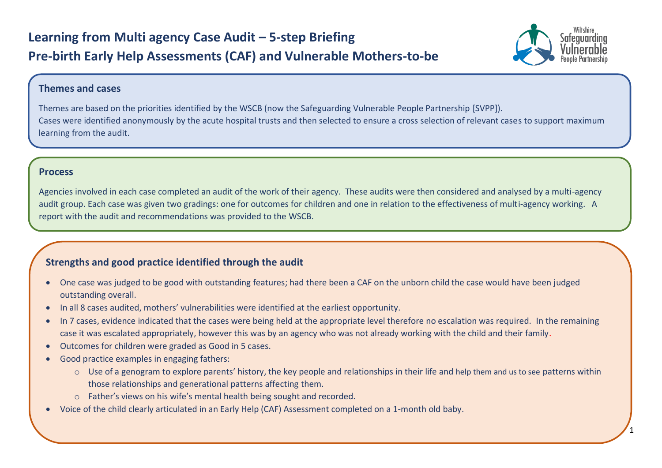

## **Themes and cases**

Themes are based on the priorities identified by the WSCB (now the Safeguarding Vulnerable People Partnership [SVPP]). Cases were identified anonymously by the acute hospital trusts and then selected to ensure a cross selection of relevant cases to support maximum learning from the audit.

### **Process**

Agencies involved in each case completed an audit of the work of their agency. These audits were then considered and analysed by a multi-agency audit group. Each case was given two gradings: one for outcomes for children and one in relation to the effectiveness of multi-agency working. A report with the audit and recommendations was provided to the WSCB.

# **Strengths and good practice identified through the audit**

- One case was judged to be good with outstanding features; had there been a CAF on the unborn child the case would have been judged outstanding overall.
- In all 8 cases audited, mothers' vulnerabilities were identified at the earliest opportunity.
- In 7 cases, evidence indicated that the cases were being held at the appropriate level therefore no escalation was required. In the remaining case it was escalated appropriately, however this was by an agency who was not already working with the child and their family.
- Outcomes for children were graded as Good in 5 cases.
- Good practice examples in engaging fathers:
	- o Use of a genogram to explore parents' history, the key people and relationships in their life and help them and us to see patterns within those relationships and generational patterns affecting them.
	- o Father's views on his wife's mental health being sought and recorded.
- Voice of the child clearly articulated in an Early Help (CAF) Assessment completed on a 1-month old baby.